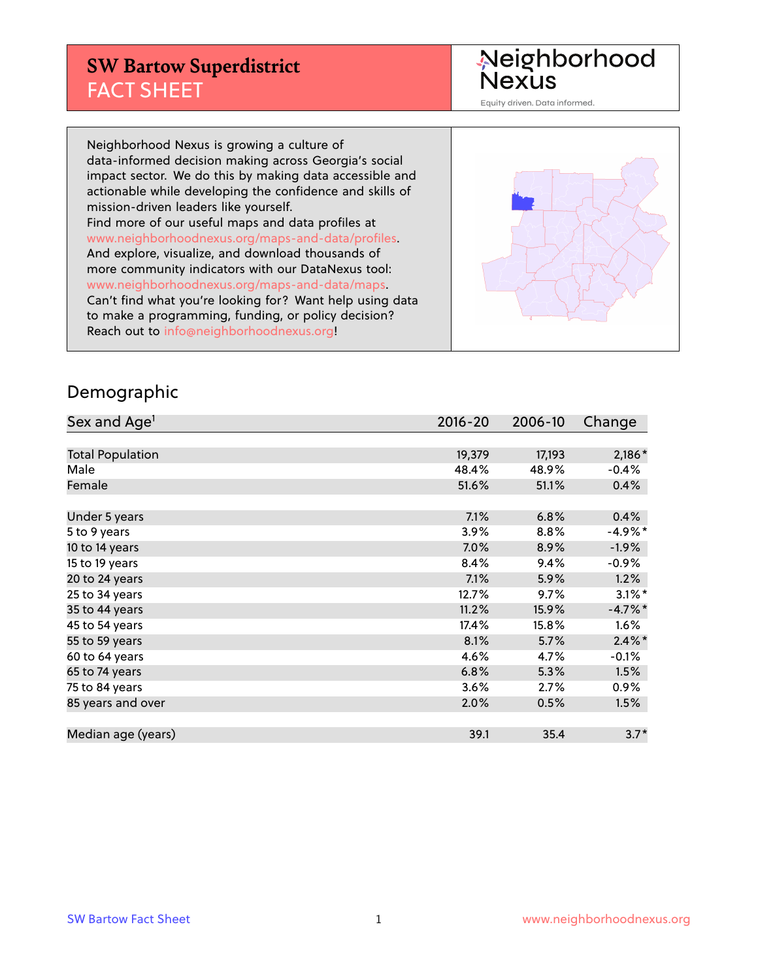#### **SW Bartow Superdistrict** FACT SHEET

Neighborhood<br>Nexus

Equity driven. Data informed.

Neighborhood Nexus is growing a culture of data-informed decision making across Georgia's social impact sector. We do this by making data accessible and actionable while developing the confidence and skills of mission-driven leaders like yourself. Find more of our useful maps and data profiles at www.neighborhoodnexus.org/maps-and-data/profiles. And explore, visualize, and download thousands of more community indicators with our DataNexus tool: www.neighborhoodnexus.org/maps-and-data/maps. Can't find what you're looking for? Want help using data to make a programming, funding, or policy decision? Reach out to [info@neighborhoodnexus.org!](mailto:info@neighborhoodnexus.org)



#### Demographic

| Sex and Age <sup>1</sup> | $2016 - 20$ | 2006-10 | Change    |
|--------------------------|-------------|---------|-----------|
|                          |             |         |           |
| <b>Total Population</b>  | 19,379      | 17,193  | $2,186*$  |
| Male                     | 48.4%       | 48.9%   | $-0.4%$   |
| Female                   | 51.6%       | 51.1%   | 0.4%      |
|                          |             |         |           |
| Under 5 years            | 7.1%        | 6.8%    | 0.4%      |
| 5 to 9 years             | 3.9%        | 8.8%    | $-4.9%$ * |
| 10 to 14 years           | $7.0\%$     | 8.9%    | $-1.9\%$  |
| 15 to 19 years           | 8.4%        | 9.4%    | $-0.9\%$  |
| 20 to 24 years           | 7.1%        | 5.9%    | 1.2%      |
| 25 to 34 years           | 12.7%       | 9.7%    | $3.1\%$ * |
| 35 to 44 years           | 11.2%       | 15.9%   | $-4.7%$ * |
| 45 to 54 years           | 17.4%       | 15.8%   | 1.6%      |
| 55 to 59 years           | 8.1%        | 5.7%    | $2.4\%$ * |
| 60 to 64 years           | 4.6%        | 4.7%    | $-0.1%$   |
| 65 to 74 years           | 6.8%        | 5.3%    | 1.5%      |
| 75 to 84 years           | $3.6\%$     | 2.7%    | $0.9\%$   |
| 85 years and over        | 2.0%        | 0.5%    | 1.5%      |
|                          |             |         |           |
| Median age (years)       | 39.1        | 35.4    | $3.7*$    |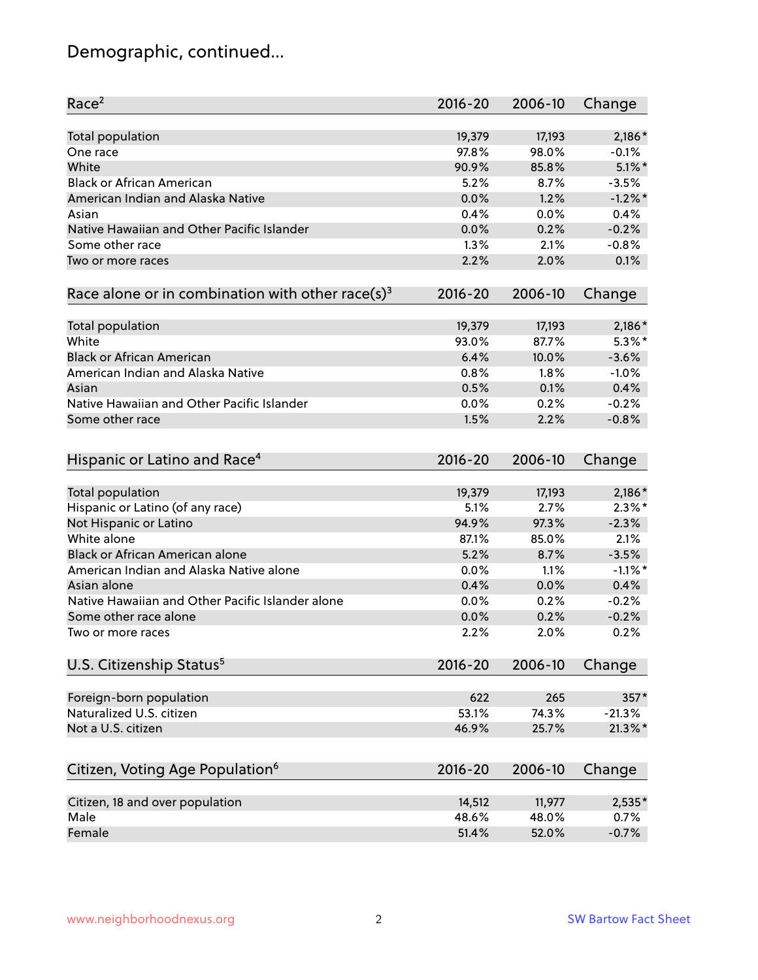# Demographic, continued...

| Race <sup>2</sup>                                            | $2016 - 20$ | 2006-10 | Change     |
|--------------------------------------------------------------|-------------|---------|------------|
| <b>Total population</b>                                      | 19,379      | 17,193  | 2,186*     |
| One race                                                     | 97.8%       | 98.0%   | $-0.1%$    |
| White                                                        | 90.9%       | 85.8%   | $5.1\%$ *  |
| <b>Black or African American</b>                             | 5.2%        | 8.7%    | $-3.5%$    |
| American Indian and Alaska Native                            | 0.0%        | 1.2%    | $-1.2\%$ * |
| Asian                                                        | 0.4%        | 0.0%    | 0.4%       |
| Native Hawaiian and Other Pacific Islander                   | 0.0%        | 0.2%    | $-0.2%$    |
| Some other race                                              | 1.3%        | 2.1%    | $-0.8%$    |
| Two or more races                                            | 2.2%        | 2.0%    | 0.1%       |
| Race alone or in combination with other race(s) <sup>3</sup> | $2016 - 20$ | 2006-10 | Change     |
|                                                              |             |         |            |
| <b>Total population</b>                                      | 19,379      | 17,193  | $2,186*$   |
| White                                                        | 93.0%       | 87.7%   | $5.3\%$ *  |
| <b>Black or African American</b>                             | 6.4%        | 10.0%   | $-3.6%$    |
| American Indian and Alaska Native                            | 0.8%        | 1.8%    | $-1.0%$    |
| Asian                                                        | 0.5%        | 0.1%    | 0.4%       |
| Native Hawaiian and Other Pacific Islander                   | 0.0%        | 0.2%    | $-0.2%$    |
| Some other race                                              | 1.5%        | 2.2%    | $-0.8%$    |
|                                                              |             |         |            |
| Hispanic or Latino and Race <sup>4</sup>                     | $2016 - 20$ | 2006-10 | Change     |
| <b>Total population</b>                                      | 19,379      | 17,193  | $2,186*$   |
| Hispanic or Latino (of any race)                             | 5.1%        | 2.7%    | $2.3\%$ *  |
| Not Hispanic or Latino                                       | 94.9%       | 97.3%   | $-2.3%$    |
| White alone                                                  |             |         |            |
|                                                              | 87.1%       | 85.0%   | 2.1%       |
| Black or African American alone                              | 5.2%        | 8.7%    | $-3.5%$    |
| American Indian and Alaska Native alone                      | 0.0%        | 1.1%    | $-1.1\%$ * |
| Asian alone                                                  | 0.4%        | 0.0%    | 0.4%       |
| Native Hawaiian and Other Pacific Islander alone             | 0.0%        | 0.2%    | $-0.2%$    |
| Some other race alone                                        | 0.0%        | 0.2%    | $-0.2%$    |
| Two or more races                                            | 2.2%        | 2.0%    | 0.2%       |
| U.S. Citizenship Status <sup>5</sup>                         | $2016 - 20$ | 2006-10 | Change     |
|                                                              |             |         |            |
| Foreign-born population                                      | 622         | 265     | 357*       |
| Naturalized U.S. citizen                                     | 53.1%       | 74.3%   | $-21.3%$   |
| Not a U.S. citizen                                           | 46.9%       | 25.7%   | $21.3\%$ * |
| Citizen, Voting Age Population <sup>6</sup>                  | 2016-20     | 2006-10 | Change     |
| Citizen, 18 and over population                              | 14,512      | 11,977  | 2,535*     |
| Male                                                         | 48.6%       | 48.0%   | 0.7%       |
| Female                                                       | 51.4%       | 52.0%   | $-0.7%$    |
|                                                              |             |         |            |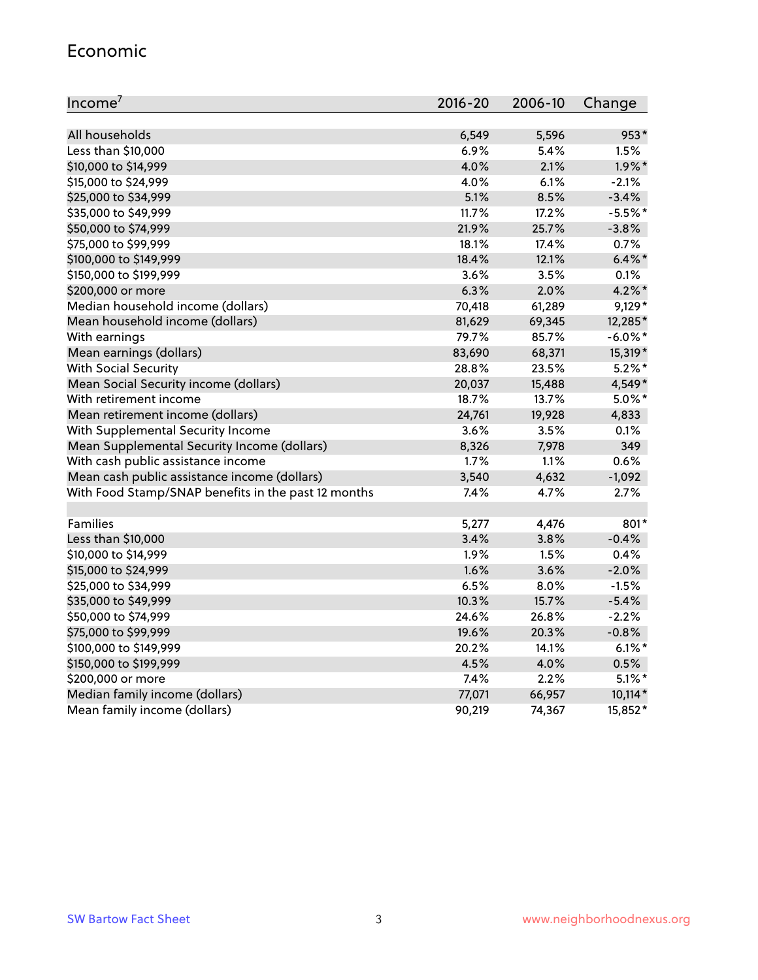#### Economic

| Income <sup>7</sup>                                 | $2016 - 20$ | 2006-10 | Change     |
|-----------------------------------------------------|-------------|---------|------------|
|                                                     |             |         |            |
| All households                                      | 6,549       | 5,596   | 953*       |
| Less than \$10,000                                  | 6.9%        | 5.4%    | 1.5%       |
| \$10,000 to \$14,999                                | 4.0%        | 2.1%    | $1.9\%$ *  |
| \$15,000 to \$24,999                                | 4.0%        | 6.1%    | $-2.1%$    |
| \$25,000 to \$34,999                                | 5.1%        | 8.5%    | $-3.4%$    |
| \$35,000 to \$49,999                                | 11.7%       | 17.2%   | $-5.5%$ *  |
| \$50,000 to \$74,999                                | 21.9%       | 25.7%   | $-3.8%$    |
| \$75,000 to \$99,999                                | 18.1%       | 17.4%   | 0.7%       |
| \$100,000 to \$149,999                              | 18.4%       | 12.1%   | $6.4\%$ *  |
| \$150,000 to \$199,999                              | 3.6%        | 3.5%    | 0.1%       |
| \$200,000 or more                                   | 6.3%        | 2.0%    | $4.2\%$ *  |
| Median household income (dollars)                   | 70,418      | 61,289  | $9,129*$   |
| Mean household income (dollars)                     | 81,629      | 69,345  | 12,285*    |
| With earnings                                       | 79.7%       | 85.7%   | $-6.0\%$ * |
| Mean earnings (dollars)                             | 83,690      | 68,371  | 15,319*    |
| <b>With Social Security</b>                         | 28.8%       | 23.5%   | $5.2\%$ *  |
| Mean Social Security income (dollars)               | 20,037      | 15,488  | 4,549*     |
| With retirement income                              | 18.7%       | 13.7%   | $5.0\%$ *  |
| Mean retirement income (dollars)                    | 24,761      | 19,928  | 4,833      |
| With Supplemental Security Income                   | $3.6\%$     | 3.5%    | $0.1\%$    |
| Mean Supplemental Security Income (dollars)         | 8,326       | 7,978   | 349        |
| With cash public assistance income                  | 1.7%        | 1.1%    | 0.6%       |
| Mean cash public assistance income (dollars)        | 3,540       | 4,632   | $-1,092$   |
| With Food Stamp/SNAP benefits in the past 12 months | 7.4%        | 4.7%    | 2.7%       |
|                                                     |             |         |            |
| Families                                            | 5,277       | 4,476   | 801*       |
| Less than \$10,000                                  | 3.4%        | 3.8%    | $-0.4%$    |
| \$10,000 to \$14,999                                | 1.9%        | 1.5%    | 0.4%       |
| \$15,000 to \$24,999                                | 1.6%        | 3.6%    | $-2.0%$    |
| \$25,000 to \$34,999                                | 6.5%        | 8.0%    | $-1.5%$    |
| \$35,000 to \$49,999                                | 10.3%       | 15.7%   | $-5.4%$    |
| \$50,000 to \$74,999                                | 24.6%       | 26.8%   | $-2.2%$    |
| \$75,000 to \$99,999                                | 19.6%       | 20.3%   | $-0.8%$    |
| \$100,000 to \$149,999                              | 20.2%       | 14.1%   | $6.1\%$ *  |
| \$150,000 to \$199,999                              | 4.5%        | 4.0%    | 0.5%       |
| \$200,000 or more                                   | 7.4%        | 2.2%    | $5.1\%$ *  |
| Median family income (dollars)                      | 77,071      | 66,957  | $10,114*$  |
| Mean family income (dollars)                        | 90,219      | 74,367  | 15,852*    |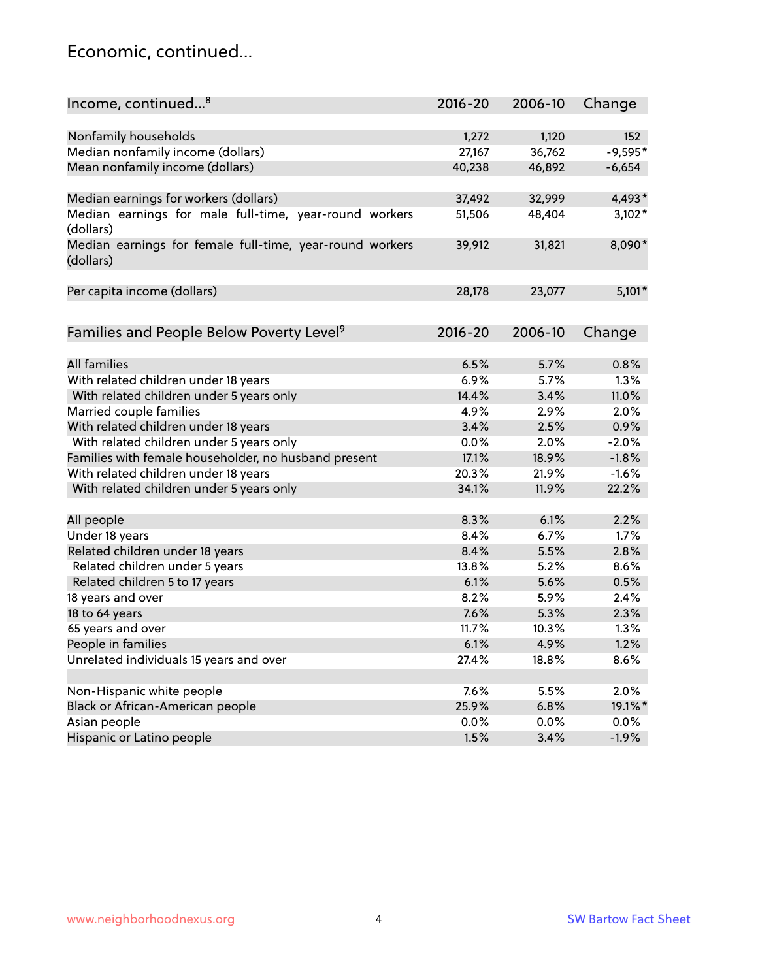#### Economic, continued...

| Income, continued <sup>8</sup>                                        | $2016 - 20$ | 2006-10 | Change    |
|-----------------------------------------------------------------------|-------------|---------|-----------|
|                                                                       |             |         |           |
| Nonfamily households                                                  | 1,272       | 1,120   | 152       |
| Median nonfamily income (dollars)                                     | 27,167      | 36,762  | $-9,595*$ |
| Mean nonfamily income (dollars)                                       | 40,238      | 46,892  | $-6,654$  |
| Median earnings for workers (dollars)                                 | 37,492      | 32,999  | 4,493*    |
| Median earnings for male full-time, year-round workers                | 51,506      | 48,404  | $3,102*$  |
| (dollars)                                                             |             |         |           |
| Median earnings for female full-time, year-round workers<br>(dollars) | 39,912      | 31,821  | 8,090*    |
| Per capita income (dollars)                                           | 28,178      | 23,077  | $5,101*$  |
|                                                                       |             |         |           |
| Families and People Below Poverty Level <sup>9</sup>                  | $2016 - 20$ | 2006-10 | Change    |
|                                                                       |             |         |           |
| <b>All families</b>                                                   | 6.5%        | 5.7%    | 0.8%      |
| With related children under 18 years                                  | 6.9%        | 5.7%    | 1.3%      |
| With related children under 5 years only                              | 14.4%       | 3.4%    | 11.0%     |
| Married couple families                                               | 4.9%        | 2.9%    | 2.0%      |
| With related children under 18 years                                  | 3.4%        | 2.5%    | 0.9%      |
| With related children under 5 years only                              | 0.0%        | 2.0%    | $-2.0%$   |
| Families with female householder, no husband present                  | 17.1%       | 18.9%   | $-1.8%$   |
| With related children under 18 years                                  | 20.3%       | 21.9%   | $-1.6%$   |
| With related children under 5 years only                              | 34.1%       | 11.9%   | 22.2%     |
| All people                                                            | 8.3%        | 6.1%    | 2.2%      |
| Under 18 years                                                        | 8.4%        | 6.7%    | 1.7%      |
| Related children under 18 years                                       | 8.4%        | 5.5%    | 2.8%      |
| Related children under 5 years                                        | 13.8%       | 5.2%    | 8.6%      |
| Related children 5 to 17 years                                        | 6.1%        | 5.6%    | 0.5%      |
| 18 years and over                                                     | 8.2%        | 5.9%    | 2.4%      |
| 18 to 64 years                                                        | 7.6%        | 5.3%    | 2.3%      |
| 65 years and over                                                     | 11.7%       | 10.3%   | 1.3%      |
| People in families                                                    | 6.1%        | 4.9%    | 1.2%      |
| Unrelated individuals 15 years and over                               | 27.4%       | 18.8%   | 8.6%      |
|                                                                       |             |         |           |
| Non-Hispanic white people                                             | 7.6%        | 5.5%    | 2.0%      |
| Black or African-American people                                      | 25.9%       | 6.8%    | 19.1%*    |
| Asian people                                                          | 0.0%        | 0.0%    | 0.0%      |
| Hispanic or Latino people                                             | 1.5%        | 3.4%    | $-1.9%$   |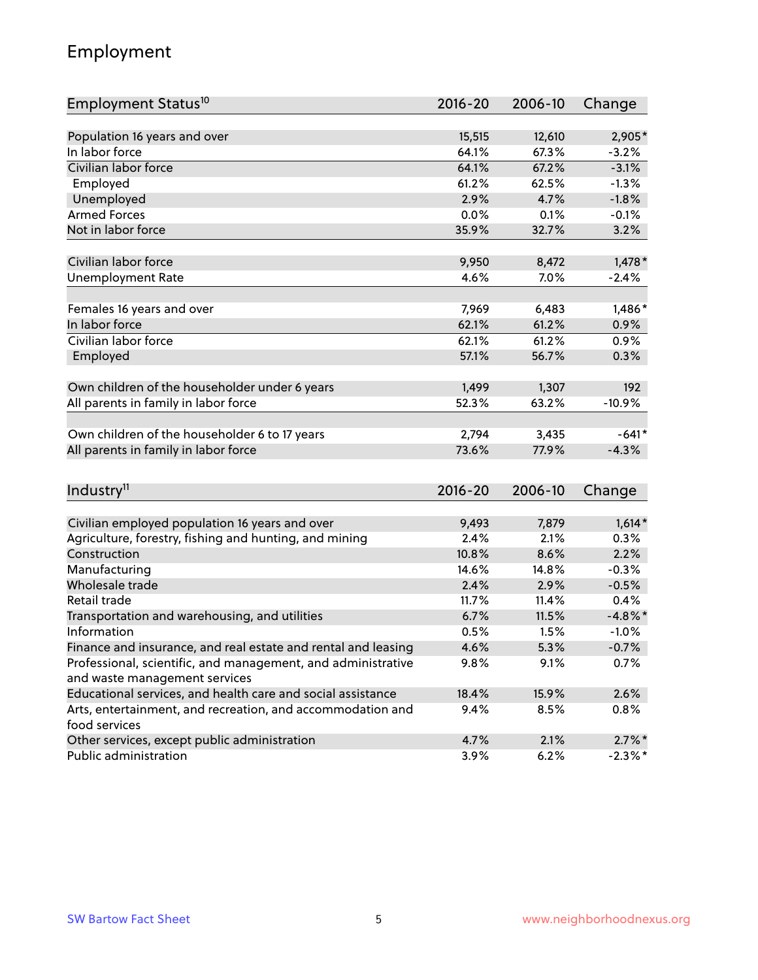## Employment

| Employment Status <sup>10</sup>                                             | $2016 - 20$ | 2006-10 | Change     |
|-----------------------------------------------------------------------------|-------------|---------|------------|
|                                                                             |             |         |            |
| Population 16 years and over                                                | 15,515      | 12,610  | 2,905*     |
| In labor force                                                              | 64.1%       | 67.3%   | $-3.2%$    |
| Civilian labor force                                                        | 64.1%       | 67.2%   | $-3.1%$    |
| Employed                                                                    | 61.2%       | 62.5%   | $-1.3%$    |
| Unemployed                                                                  | 2.9%        | 4.7%    | $-1.8%$    |
| <b>Armed Forces</b>                                                         | 0.0%        | 0.1%    | $-0.1%$    |
| Not in labor force                                                          | 35.9%       | 32.7%   | 3.2%       |
| Civilian labor force                                                        | 9,950       | 8,472   | $1,478*$   |
| <b>Unemployment Rate</b>                                                    | 4.6%        | 7.0%    | $-2.4%$    |
|                                                                             |             |         |            |
| Females 16 years and over                                                   | 7,969       | 6,483   | 1,486*     |
| In labor force                                                              | 62.1%       | 61.2%   | 0.9%       |
| Civilian labor force                                                        | 62.1%       | 61.2%   | 0.9%       |
| Employed                                                                    | 57.1%       | 56.7%   | 0.3%       |
| Own children of the householder under 6 years                               | 1,499       | 1,307   | 192        |
|                                                                             | 52.3%       | 63.2%   | $-10.9%$   |
| All parents in family in labor force                                        |             |         |            |
| Own children of the householder 6 to 17 years                               | 2,794       | 3,435   | $-641*$    |
| All parents in family in labor force                                        | 73.6%       | 77.9%   | $-4.3%$    |
|                                                                             |             |         |            |
| Industry <sup>11</sup>                                                      | $2016 - 20$ | 2006-10 | Change     |
|                                                                             |             |         |            |
| Civilian employed population 16 years and over                              | 9,493       | 7,879   | $1,614*$   |
| Agriculture, forestry, fishing and hunting, and mining                      | 2.4%        | 2.1%    | 0.3%       |
| Construction                                                                | 10.8%       | 8.6%    | 2.2%       |
| Manufacturing                                                               | 14.6%       | 14.8%   | $-0.3%$    |
| Wholesale trade                                                             | 2.4%        | 2.9%    | $-0.5%$    |
| Retail trade                                                                | 11.7%       | 11.4%   | 0.4%       |
| Transportation and warehousing, and utilities                               | 6.7%        | 11.5%   | $-4.8\%$ * |
| Information                                                                 | 0.5%        | 1.5%    | $-1.0%$    |
| Finance and insurance, and real estate and rental and leasing               | 4.6%        | 5.3%    | $-0.7%$    |
| Professional, scientific, and management, and administrative                | 9.8%        | 9.1%    | 0.7%       |
| and waste management services                                               |             |         |            |
| Educational services, and health care and social assistance                 | 18.4%       | 15.9%   | 2.6%       |
| Arts, entertainment, and recreation, and accommodation and<br>food services | 9.4%        | 8.5%    | 0.8%       |
| Other services, except public administration                                | 4.7%        | 2.1%    | $2.7\%$ *  |
| Public administration                                                       | 3.9%        | 6.2%    | $-2.3\%$ * |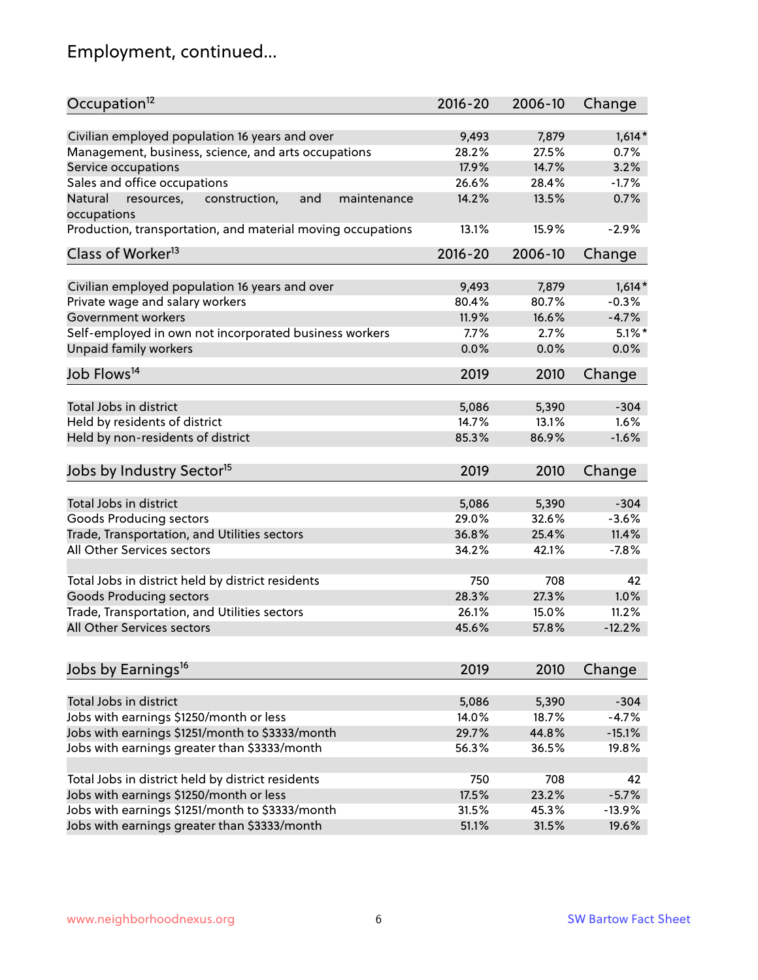# Employment, continued...

| Occupation <sup>12</sup>                                     | $2016 - 20$ | 2006-10 | Change    |
|--------------------------------------------------------------|-------------|---------|-----------|
| Civilian employed population 16 years and over               | 9,493       | 7,879   | $1,614*$  |
| Management, business, science, and arts occupations          | 28.2%       | 27.5%   | 0.7%      |
| Service occupations                                          | 17.9%       | 14.7%   | 3.2%      |
| Sales and office occupations                                 | 26.6%       | 28.4%   | $-1.7%$   |
| Natural<br>and<br>resources,<br>construction,<br>maintenance | 14.2%       | 13.5%   | 0.7%      |
| occupations                                                  |             |         |           |
| Production, transportation, and material moving occupations  | 13.1%       | 15.9%   | $-2.9%$   |
| Class of Worker <sup>13</sup>                                | $2016 - 20$ | 2006-10 | Change    |
|                                                              |             |         |           |
| Civilian employed population 16 years and over               | 9,493       | 7,879   | $1,614*$  |
| Private wage and salary workers                              | 80.4%       | 80.7%   | $-0.3%$   |
| Government workers                                           | 11.9%       | 16.6%   | $-4.7%$   |
| Self-employed in own not incorporated business workers       | 7.7%        | 2.7%    | $5.1\%$ * |
| Unpaid family workers                                        | 0.0%        | 0.0%    | 0.0%      |
| Job Flows <sup>14</sup>                                      | 2019        | 2010    | Change    |
|                                                              | 5,086       |         |           |
| Total Jobs in district                                       |             | 5,390   | $-304$    |
| Held by residents of district                                | 14.7%       | 13.1%   | 1.6%      |
| Held by non-residents of district                            | 85.3%       | 86.9%   | $-1.6%$   |
| Jobs by Industry Sector <sup>15</sup>                        | 2019        | 2010    | Change    |
| Total Jobs in district                                       | 5,086       | 5,390   | $-304$    |
| Goods Producing sectors                                      | 29.0%       | 32.6%   | $-3.6%$   |
| Trade, Transportation, and Utilities sectors                 | 36.8%       | 25.4%   | 11.4%     |
| All Other Services sectors                                   | 34.2%       | 42.1%   | $-7.8%$   |
|                                                              |             |         |           |
| Total Jobs in district held by district residents            | 750         | 708     | 42        |
| <b>Goods Producing sectors</b>                               | 28.3%       | 27.3%   | 1.0%      |
| Trade, Transportation, and Utilities sectors                 | 26.1%       | 15.0%   | 11.2%     |
| All Other Services sectors                                   | 45.6%       | 57.8%   | $-12.2%$  |
|                                                              |             |         |           |
| Jobs by Earnings <sup>16</sup>                               | 2019        | 2010    | Change    |
| Total Jobs in district                                       |             |         | $-304$    |
|                                                              | 5,086       | 5,390   |           |
| Jobs with earnings \$1250/month or less                      | 14.0%       | 18.7%   | $-4.7%$   |
| Jobs with earnings \$1251/month to \$3333/month              | 29.7%       | 44.8%   | $-15.1%$  |
| Jobs with earnings greater than \$3333/month                 | 56.3%       | 36.5%   | 19.8%     |
| Total Jobs in district held by district residents            | 750         | 708     | 42        |
| Jobs with earnings \$1250/month or less                      | 17.5%       | 23.2%   | $-5.7%$   |
| Jobs with earnings \$1251/month to \$3333/month              | 31.5%       | 45.3%   | $-13.9%$  |
| Jobs with earnings greater than \$3333/month                 | 51.1%       | 31.5%   | 19.6%     |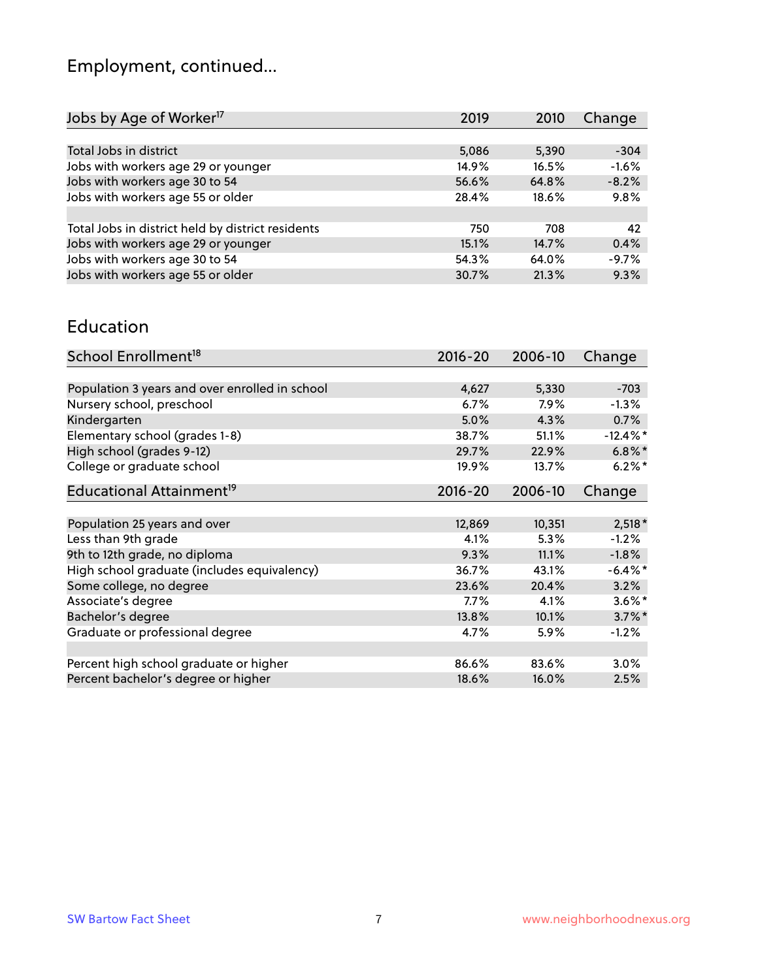# Employment, continued...

| Jobs by Age of Worker <sup>17</sup>               | 2019  | 2010  | Change  |
|---------------------------------------------------|-------|-------|---------|
|                                                   |       |       |         |
| Total Jobs in district                            | 5,086 | 5,390 | $-304$  |
| Jobs with workers age 29 or younger               | 14.9% | 16.5% | $-1.6%$ |
| Jobs with workers age 30 to 54                    | 56.6% | 64.8% | $-8.2%$ |
| Jobs with workers age 55 or older                 | 28.4% | 18.6% | 9.8%    |
|                                                   |       |       |         |
| Total Jobs in district held by district residents | 750   | 708   | 42      |
| Jobs with workers age 29 or younger               | 15.1% | 14.7% | 0.4%    |
| Jobs with workers age 30 to 54                    | 54.3% | 64.0% | $-9.7%$ |
| Jobs with workers age 55 or older                 | 30.7% | 21.3% | 9.3%    |

#### Education

| School Enrollment <sup>18</sup>                | $2016 - 20$ | 2006-10 | Change      |
|------------------------------------------------|-------------|---------|-------------|
|                                                |             |         |             |
| Population 3 years and over enrolled in school | 4,627       | 5,330   | $-703$      |
| Nursery school, preschool                      | 6.7%        | $7.9\%$ | $-1.3\%$    |
| Kindergarten                                   | 5.0%        | 4.3%    | 0.7%        |
| Elementary school (grades 1-8)                 | 38.7%       | 51.1%   | $-12.4\%$ * |
| High school (grades 9-12)                      | 29.7%       | 22.9%   | $6.8\%$ *   |
| College or graduate school                     | 19.9%       | 13.7%   | $6.2\%$ *   |
| Educational Attainment <sup>19</sup>           | $2016 - 20$ | 2006-10 | Change      |
|                                                |             |         |             |
| Population 25 years and over                   | 12,869      | 10,351  | $2,518*$    |
| Less than 9th grade                            | 4.1%        | 5.3%    | $-1.2%$     |
| 9th to 12th grade, no diploma                  | 9.3%        | 11.1%   | $-1.8%$     |
| High school graduate (includes equivalency)    | 36.7%       | 43.1%   | $-6.4\%$ *  |
| Some college, no degree                        | 23.6%       | 20.4%   | 3.2%        |
| Associate's degree                             | 7.7%        | 4.1%    | $3.6\%$ *   |
| Bachelor's degree                              | 13.8%       | 10.1%   | $3.7\%$ *   |
| Graduate or professional degree                | 4.7%        | 5.9%    | $-1.2%$     |
|                                                |             |         |             |
| Percent high school graduate or higher         | 86.6%       | 83.6%   | $3.0\%$     |
| Percent bachelor's degree or higher            | 18.6%       | 16.0%   | 2.5%        |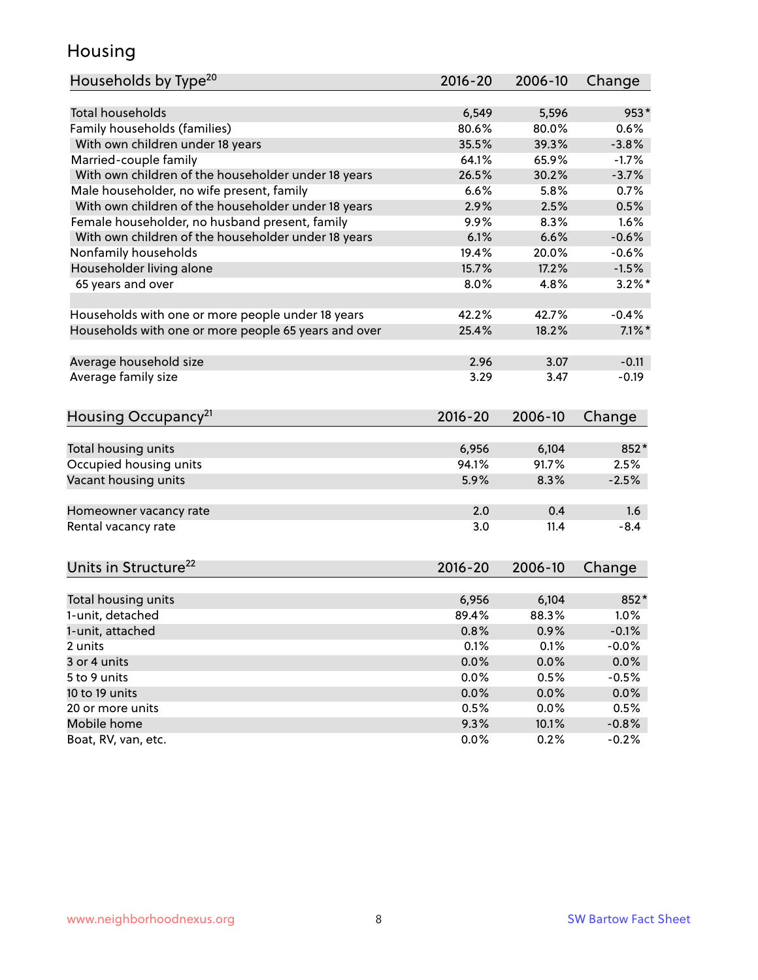## Housing

| Households by Type <sup>20</sup>                     | 2016-20     | 2006-10 | Change    |
|------------------------------------------------------|-------------|---------|-----------|
|                                                      |             |         |           |
| <b>Total households</b>                              | 6,549       | 5,596   | $953*$    |
| Family households (families)                         | 80.6%       | 80.0%   | 0.6%      |
| With own children under 18 years                     | 35.5%       | 39.3%   | $-3.8%$   |
| Married-couple family                                | 64.1%       | 65.9%   | $-1.7%$   |
| With own children of the householder under 18 years  | 26.5%       | 30.2%   | $-3.7%$   |
| Male householder, no wife present, family            | 6.6%        | 5.8%    | 0.7%      |
| With own children of the householder under 18 years  | 2.9%        | 2.5%    | 0.5%      |
| Female householder, no husband present, family       | 9.9%        | 8.3%    | 1.6%      |
| With own children of the householder under 18 years  | 6.1%        | 6.6%    | $-0.6%$   |
| Nonfamily households                                 | 19.4%       | 20.0%   | $-0.6%$   |
| Householder living alone                             | 15.7%       | 17.2%   | $-1.5%$   |
| 65 years and over                                    | 8.0%        | 4.8%    | $3.2\%$ * |
|                                                      |             |         |           |
| Households with one or more people under 18 years    | 42.2%       | 42.7%   | $-0.4%$   |
| Households with one or more people 65 years and over | 25.4%       | 18.2%   | $7.1\%$ * |
|                                                      |             |         |           |
| Average household size                               | 2.96        | 3.07    | $-0.11$   |
| Average family size                                  | 3.29        | 3.47    | $-0.19$   |
|                                                      |             |         |           |
| Housing Occupancy <sup>21</sup>                      | $2016 - 20$ | 2006-10 |           |
|                                                      |             |         | Change    |
| Total housing units                                  | 6,956       | 6,104   | 852*      |
| Occupied housing units                               | 94.1%       | 91.7%   | 2.5%      |
| Vacant housing units                                 | 5.9%        | 8.3%    | $-2.5%$   |
|                                                      |             |         |           |
| Homeowner vacancy rate                               | 2.0         | 0.4     | 1.6       |
| Rental vacancy rate                                  | 3.0         | 11.4    | $-8.4$    |
|                                                      |             |         |           |
| Units in Structure <sup>22</sup>                     | $2016 - 20$ | 2006-10 | Change    |
|                                                      |             |         |           |
| Total housing units                                  | 6,956       | 6,104   | 852*      |
| 1-unit, detached                                     | 89.4%       | 88.3%   | 1.0%      |
| 1-unit, attached                                     | 0.8%        | 0.9%    | $-0.1%$   |
| 2 units                                              | 0.1%        | 0.1%    | $-0.0%$   |
| 3 or 4 units                                         | 0.0%        | 0.0%    | 0.0%      |
| 5 to 9 units                                         | 0.0%        | 0.5%    | $-0.5%$   |
| 10 to 19 units                                       | 0.0%        | 0.0%    | 0.0%      |
| 20 or more units                                     | 0.5%        | 0.0%    | 0.5%      |
| Mobile home                                          | 9.3%        | 10.1%   | $-0.8%$   |
|                                                      |             |         |           |
| Boat, RV, van, etc.                                  | 0.0%        | 0.2%    | $-0.2%$   |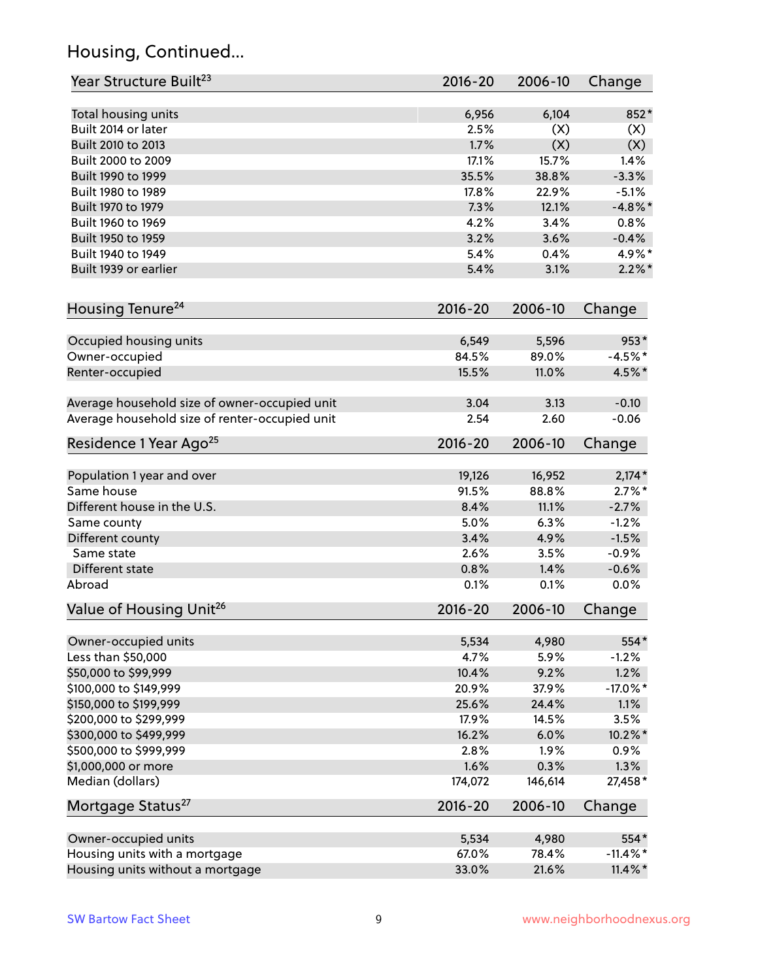## Housing, Continued...

| Year Structure Built <sup>23</sup>             | $2016 - 20$ | 2006-10 | Change      |
|------------------------------------------------|-------------|---------|-------------|
| Total housing units                            | 6,956       | 6,104   | 852*        |
| Built 2014 or later                            | 2.5%        | (X)     | (X)         |
| Built 2010 to 2013                             | 1.7%        | (X)     | (X)         |
| Built 2000 to 2009                             | 17.1%       | 15.7%   | 1.4%        |
| Built 1990 to 1999                             | 35.5%       | 38.8%   | $-3.3%$     |
| Built 1980 to 1989                             | 17.8%       | 22.9%   | $-5.1%$     |
| Built 1970 to 1979                             | 7.3%        | 12.1%   | $-4.8\%$ *  |
| Built 1960 to 1969                             | 4.2%        | 3.4%    | 0.8%        |
| Built 1950 to 1959                             | 3.2%        | 3.6%    | $-0.4%$     |
| Built 1940 to 1949                             | 5.4%        | 0.4%    | 4.9%*       |
| Built 1939 or earlier                          | 5.4%        | 3.1%    | $2.2\%$ *   |
|                                                |             |         |             |
| Housing Tenure <sup>24</sup>                   | 2016-20     | 2006-10 | Change      |
| Occupied housing units                         | 6,549       | 5,596   | $953*$      |
| Owner-occupied                                 | 84.5%       | 89.0%   | $-4.5%$ *   |
| Renter-occupied                                | 15.5%       | 11.0%   | 4.5%*       |
|                                                | 3.04        | 3.13    | $-0.10$     |
| Average household size of owner-occupied unit  | 2.54        | 2.60    | $-0.06$     |
| Average household size of renter-occupied unit |             |         |             |
| Residence 1 Year Ago <sup>25</sup>             | $2016 - 20$ | 2006-10 | Change      |
| Population 1 year and over                     | 19,126      | 16,952  | $2,174*$    |
| Same house                                     | 91.5%       | 88.8%   | $2.7\%$ *   |
| Different house in the U.S.                    | 8.4%        | 11.1%   | $-2.7%$     |
| Same county                                    | 5.0%        | 6.3%    | $-1.2%$     |
| Different county                               | 3.4%        | 4.9%    | $-1.5%$     |
| Same state                                     | 2.6%        | 3.5%    | $-0.9%$     |
| Different state                                | 0.8%        | 1.4%    | $-0.6%$     |
| Abroad                                         | 0.1%        | 0.1%    | 0.0%        |
| Value of Housing Unit <sup>26</sup>            | 2016-20     | 2006-10 | Change      |
|                                                |             |         |             |
| Owner-occupied units                           | 5,534       | 4,980   | 554*        |
| Less than \$50,000                             | 4.7%        | 5.9%    | $-1.2%$     |
| \$50,000 to \$99,999                           | 10.4%       | 9.2%    | 1.2%        |
| \$100,000 to \$149,999                         | 20.9%       | 37.9%   | $-17.0\%$ * |
| \$150,000 to \$199,999                         | 25.6%       | 24.4%   | 1.1%        |
| \$200,000 to \$299,999                         | 17.9%       | 14.5%   | 3.5%        |
| \$300,000 to \$499,999                         | 16.2%       | 6.0%    | 10.2%*      |
| \$500,000 to \$999,999                         | 2.8%        | 1.9%    | 0.9%        |
| \$1,000,000 or more                            | 1.6%        | 0.3%    | 1.3%        |
| Median (dollars)                               | 174,072     | 146,614 | 27,458*     |
| Mortgage Status <sup>27</sup>                  | $2016 - 20$ | 2006-10 | Change      |
| Owner-occupied units                           | 5,534       | 4,980   | 554*        |
| Housing units with a mortgage                  | 67.0%       | 78.4%   | $-11.4\%$ * |
| Housing units without a mortgage               | 33.0%       | 21.6%   | $11.4\%$ *  |
|                                                |             |         |             |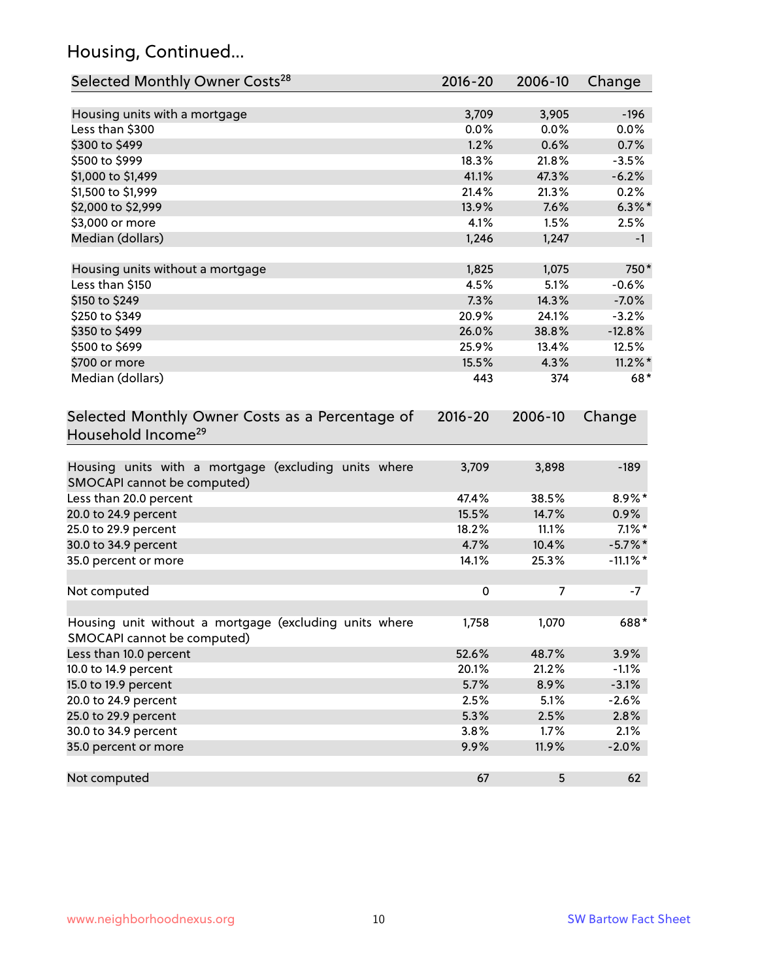## Housing, Continued...

| Selected Monthly Owner Costs <sup>28</sup>                                            | 2016-20   | 2006-10 | Change      |
|---------------------------------------------------------------------------------------|-----------|---------|-------------|
| Housing units with a mortgage                                                         | 3,709     | 3,905   | $-196$      |
| Less than \$300                                                                       | 0.0%      | 0.0%    | 0.0%        |
| \$300 to \$499                                                                        | 1.2%      | 0.6%    | 0.7%        |
| \$500 to \$999                                                                        | 18.3%     | 21.8%   | $-3.5%$     |
| \$1,000 to \$1,499                                                                    | 41.1%     | 47.3%   | $-6.2%$     |
| \$1,500 to \$1,999                                                                    | 21.4%     | 21.3%   | 0.2%        |
| \$2,000 to \$2,999                                                                    | 13.9%     | 7.6%    | $6.3\%$ *   |
| \$3,000 or more                                                                       | 4.1%      | 1.5%    | 2.5%        |
| Median (dollars)                                                                      | 1,246     | 1,247   | $-1$        |
|                                                                                       |           |         |             |
| Housing units without a mortgage                                                      | 1,825     | 1,075   | 750*        |
| Less than \$150                                                                       | 4.5%      | 5.1%    | $-0.6%$     |
| \$150 to \$249                                                                        | 7.3%      | 14.3%   | $-7.0%$     |
| \$250 to \$349                                                                        | 20.9%     | 24.1%   | $-3.2%$     |
| \$350 to \$499                                                                        | 26.0%     | 38.8%   | $-12.8%$    |
| \$500 to \$699                                                                        | 25.9%     | 13.4%   | 12.5%       |
| \$700 or more                                                                         | 15.5%     | 4.3%    | $11.2\%$ *  |
| Median (dollars)                                                                      | 443       | 374     | 68*         |
| Selected Monthly Owner Costs as a Percentage of<br>Household Income <sup>29</sup>     |           |         | Change      |
| Housing units with a mortgage (excluding units where<br>SMOCAPI cannot be computed)   | 3,709     | 3,898   | $-189$      |
| Less than 20.0 percent                                                                | 47.4%     | 38.5%   | 8.9%*       |
| 20.0 to 24.9 percent                                                                  | 15.5%     | 14.7%   | $0.9\%$     |
| 25.0 to 29.9 percent                                                                  | 18.2%     | 11.1%   | $7.1\%$ *   |
| 30.0 to 34.9 percent                                                                  | 4.7%      | 10.4%   | $-5.7\%$ *  |
| 35.0 percent or more                                                                  | 14.1%     | 25.3%   | $-11.1\%$ * |
| Not computed                                                                          | $\pmb{0}$ | 7       | $-7$        |
|                                                                                       |           |         |             |
| Housing unit without a mortgage (excluding units where<br>SMOCAPI cannot be computed) | 1,758     | 1,070   | 688*        |
| Less than 10.0 percent                                                                | 52.6%     | 48.7%   | 3.9%        |
| 10.0 to 14.9 percent                                                                  | 20.1%     | 21.2%   | $-1.1%$     |
| 15.0 to 19.9 percent                                                                  | 5.7%      | 8.9%    | $-3.1%$     |
| 20.0 to 24.9 percent                                                                  | 2.5%      | 5.1%    | $-2.6%$     |
| 25.0 to 29.9 percent                                                                  | 5.3%      | 2.5%    | 2.8%        |
| 30.0 to 34.9 percent                                                                  | 3.8%      | 1.7%    | 2.1%        |
| 35.0 percent or more                                                                  | 9.9%      | 11.9%   | $-2.0%$     |
| Not computed                                                                          | 67        | 5       | 62          |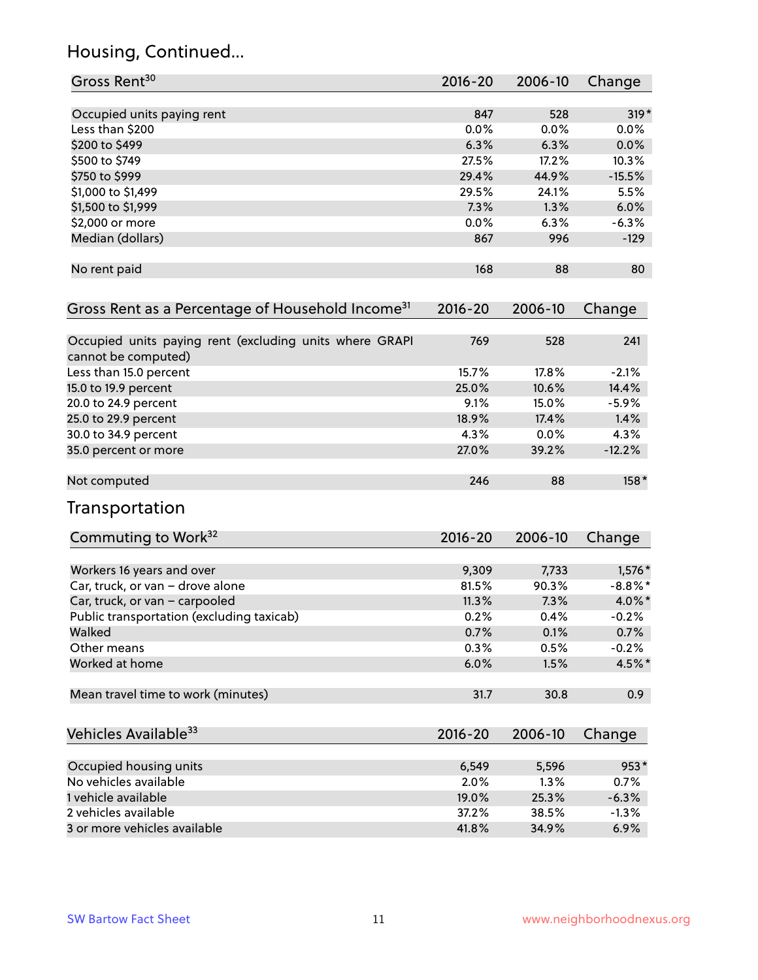## Housing, Continued...

| Gross Rent <sup>30</sup>                                                       | 2016-20 | 2006-10 | Change     |
|--------------------------------------------------------------------------------|---------|---------|------------|
| Occupied units paying rent                                                     | 847     | 528     | $319*$     |
| Less than \$200                                                                | 0.0%    | 0.0%    | $0.0\%$    |
| \$200 to \$499                                                                 | 6.3%    | 6.3%    | 0.0%       |
| \$500 to \$749                                                                 | 27.5%   | 17.2%   | 10.3%      |
| \$750 to \$999                                                                 | 29.4%   | 44.9%   | $-15.5%$   |
| \$1,000 to \$1,499                                                             | 29.5%   | 24.1%   | 5.5%       |
| \$1,500 to \$1,999                                                             | 7.3%    | 1.3%    | 6.0%       |
| \$2,000 or more                                                                | 0.0%    | 6.3%    | $-6.3%$    |
| Median (dollars)                                                               | 867     | 996     | $-129$     |
| No rent paid                                                                   | 168     | 88      | 80         |
| Gross Rent as a Percentage of Household Income <sup>31</sup>                   | 2016-20 | 2006-10 | Change     |
| Occupied units paying rent (excluding units where GRAPI<br>cannot be computed) | 769     | 528     | 241        |
| Less than 15.0 percent                                                         | 15.7%   | 17.8%   | $-2.1%$    |
| 15.0 to 19.9 percent                                                           | 25.0%   | 10.6%   | 14.4%      |
| 20.0 to 24.9 percent                                                           | 9.1%    | 15.0%   | $-5.9%$    |
| 25.0 to 29.9 percent                                                           | 18.9%   | 17.4%   | 1.4%       |
| 30.0 to 34.9 percent                                                           | 4.3%    | 0.0%    | 4.3%       |
| 35.0 percent or more                                                           | 27.0%   | 39.2%   | $-12.2%$   |
| Not computed                                                                   | 246     | 88      | 158*       |
| Transportation                                                                 |         |         |            |
| Commuting to Work <sup>32</sup>                                                | 2016-20 | 2006-10 | Change     |
| Workers 16 years and over                                                      | 9,309   | 7,733   | 1,576 *    |
| Car, truck, or van - drove alone                                               | 81.5%   | 90.3%   | $-8.8\%$ * |
| Car, truck, or van - carpooled                                                 | 11.3%   | 7.3%    | 4.0%*      |
| Public transportation (excluding taxicab)                                      | 0.2%    | 0.4%    | $-0.2%$    |
| Walked                                                                         | 0.7%    | 0.1%    | 0.7%       |
| Other means                                                                    | 0.3%    | 0.5%    | $-0.2%$    |
| Worked at home                                                                 | 6.0%    | 1.5%    | 4.5%*      |
| Mean travel time to work (minutes)                                             | 31.7    | 30.8    | 0.9        |
| Vehicles Available <sup>33</sup>                                               | 2016-20 | 2006-10 | Change     |
| Occupied housing units                                                         | 6,549   | 5,596   | $953*$     |
| No vehicles available                                                          | 2.0%    | 1.3%    | 0.7%       |
| 1 vehicle available                                                            | 19.0%   | 25.3%   | $-6.3%$    |
| 2 vehicles available                                                           | 37.2%   | 38.5%   | $-1.3%$    |
| 3 or more vehicles available                                                   | 41.8%   | 34.9%   | 6.9%       |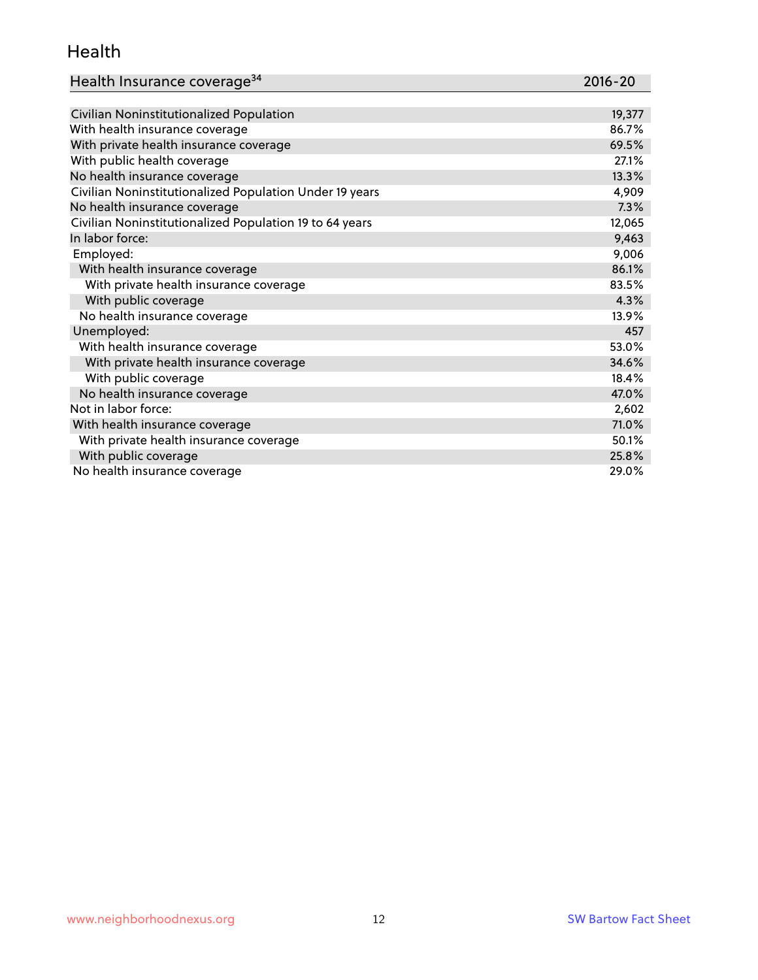#### Health

| Health Insurance coverage <sup>34</sup> | 2016-20 |
|-----------------------------------------|---------|
|-----------------------------------------|---------|

| Civilian Noninstitutionalized Population                | 19,377 |
|---------------------------------------------------------|--------|
| With health insurance coverage                          | 86.7%  |
| With private health insurance coverage                  | 69.5%  |
| With public health coverage                             | 27.1%  |
| No health insurance coverage                            | 13.3%  |
| Civilian Noninstitutionalized Population Under 19 years | 4,909  |
| No health insurance coverage                            | 7.3%   |
| Civilian Noninstitutionalized Population 19 to 64 years | 12,065 |
| In labor force:                                         | 9,463  |
| Employed:                                               | 9,006  |
| With health insurance coverage                          | 86.1%  |
| With private health insurance coverage                  | 83.5%  |
| With public coverage                                    | 4.3%   |
| No health insurance coverage                            | 13.9%  |
| Unemployed:                                             | 457    |
| With health insurance coverage                          | 53.0%  |
| With private health insurance coverage                  | 34.6%  |
| With public coverage                                    | 18.4%  |
| No health insurance coverage                            | 47.0%  |
| Not in labor force:                                     | 2,602  |
| With health insurance coverage                          | 71.0%  |
| With private health insurance coverage                  | 50.1%  |
| With public coverage                                    | 25.8%  |
| No health insurance coverage                            | 29.0%  |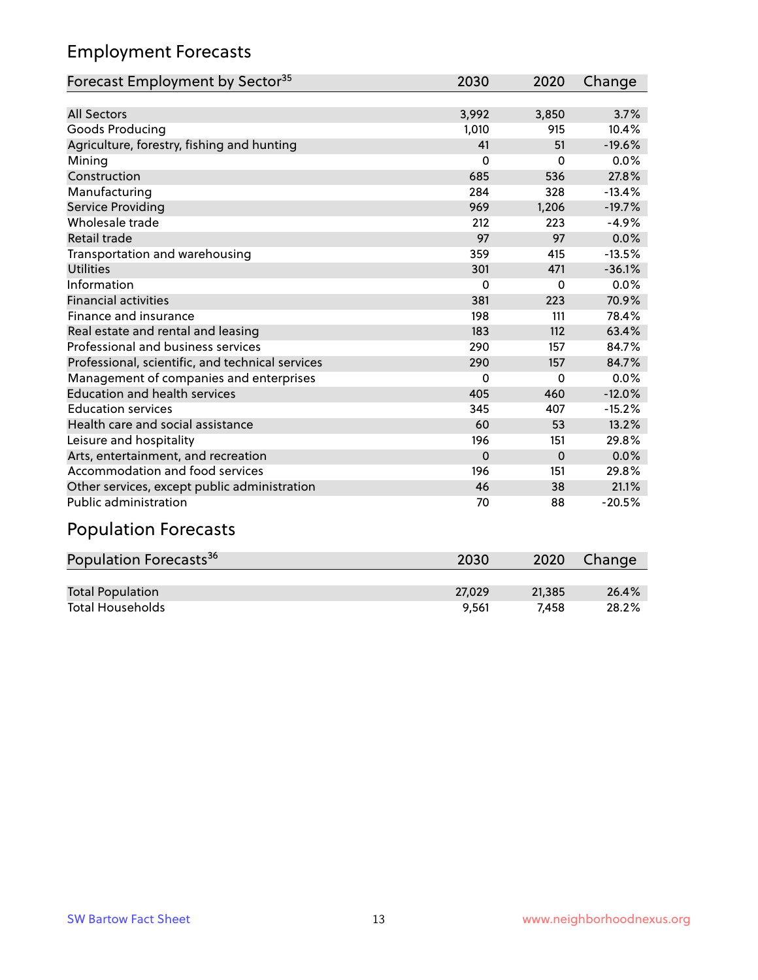## Employment Forecasts

| Forecast Employment by Sector <sup>35</sup>      | 2030     | 2020     | Change   |
|--------------------------------------------------|----------|----------|----------|
|                                                  |          |          |          |
| <b>All Sectors</b>                               | 3,992    | 3,850    | 3.7%     |
| Goods Producing                                  | 1,010    | 915      | 10.4%    |
| Agriculture, forestry, fishing and hunting       | 41       | 51       | $-19.6%$ |
| Mining                                           | 0        | $\Omega$ | 0.0%     |
| Construction                                     | 685      | 536      | 27.8%    |
| Manufacturing                                    | 284      | 328      | $-13.4%$ |
| Service Providing                                | 969      | 1,206    | $-19.7%$ |
| Wholesale trade                                  | 212      | 223      | $-4.9%$  |
| Retail trade                                     | 97       | 97       | 0.0%     |
| Transportation and warehousing                   | 359      | 415      | $-13.5%$ |
| <b>Utilities</b>                                 | 301      | 471      | $-36.1%$ |
| Information                                      | 0        | $\Omega$ | 0.0%     |
| <b>Financial activities</b>                      | 381      | 223      | 70.9%    |
| Finance and insurance                            | 198      | 111      | 78.4%    |
| Real estate and rental and leasing               | 183      | 112      | 63.4%    |
| Professional and business services               | 290      | 157      | 84.7%    |
| Professional, scientific, and technical services | 290      | 157      | 84.7%    |
| Management of companies and enterprises          | $\Omega$ | $\Omega$ | 0.0%     |
| <b>Education and health services</b>             | 405      | 460      | $-12.0%$ |
| <b>Education services</b>                        | 345      | 407      | $-15.2%$ |
| Health care and social assistance                | 60       | 53       | 13.2%    |
| Leisure and hospitality                          | 196      | 151      | 29.8%    |
| Arts, entertainment, and recreation              | $\Omega$ | $\Omega$ | 0.0%     |
| Accommodation and food services                  | 196      | 151      | 29.8%    |
| Other services, except public administration     | 46       | 38       | 21.1%    |
| <b>Public administration</b>                     | 70       | 88       | $-20.5%$ |

# Population Forecasts

| Population Forecasts <sup>36</sup> | 2030   | 2020   | Change |
|------------------------------------|--------|--------|--------|
|                                    |        |        |        |
| <b>Total Population</b>            | 27.029 | 21,385 | 26.4%  |
| <b>Total Households</b>            | 9.561  | 7.458  | 28.2%  |